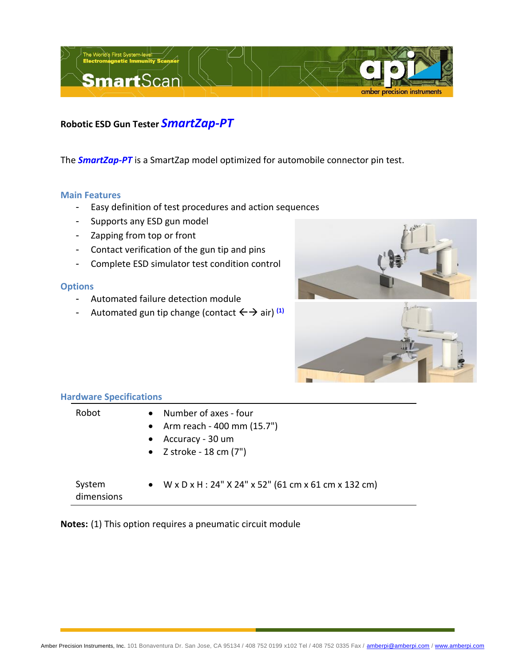

**Robotic ESD Gun Tester** *SmartZap-PT*

The *SmartZap-PT* is a SmartZap model optimized for automobile connector pin test.

## **Main Features**

- Easy definition of test procedures and action sequences
- Supports any ESD gun model
- Zapping from top or front
- Contact verification of the gun tip and pins
- Complete ESD simulator test condition control

## **Options**

- Automated failure detection module
- Automated gun tip change (contact  $\leftarrow$   $\rightarrow$  air) <sup>(1)</sup>





## **Hardware Specifications**

| Robot                | Number of axes - four<br>$\bullet$<br>• Arm reach - 400 mm $(15.7")$<br>Accuracy - 30 um<br>$\bullet$<br>• $Z$ stroke - 18 cm $(7")$ |
|----------------------|--------------------------------------------------------------------------------------------------------------------------------------|
| System<br>dimensions | • $W \times D \times H$ : 24" $X$ 24" $X$ 52" (61 cm $X$ 61 cm $X$ 132 cm)                                                           |

**Notes:** (1) This option requires a pneumatic circuit module